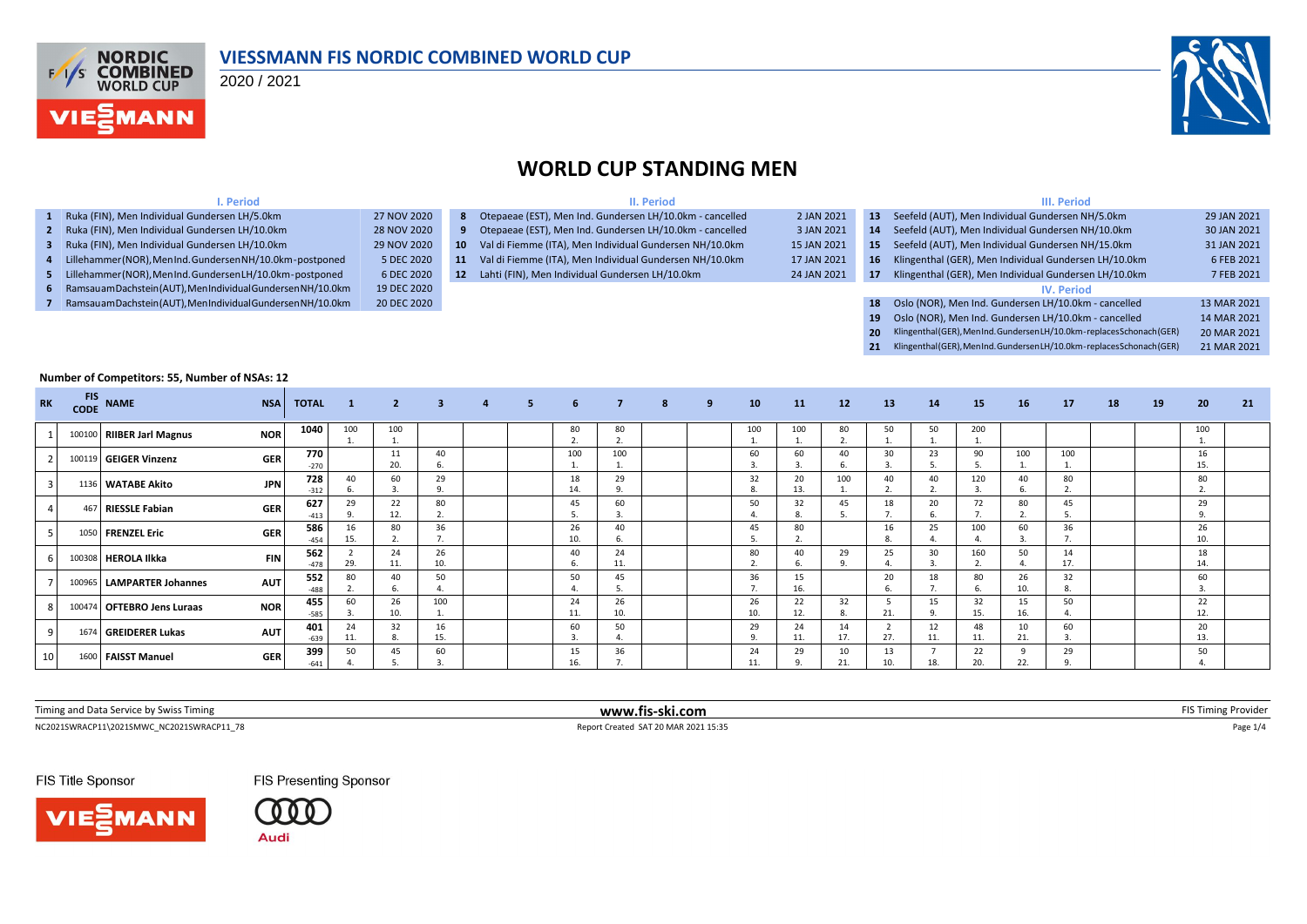

#### **VIESSMANN FIS NORDIC COMBINED WORLD CUP**

2020 / 2021



#### **WORLD CUP STANDING MEN**

| I. Period                                                      |             |     | II. Period                                                 |             |                 | III. Period                                                          |             |  |  |  |  |  |  |
|----------------------------------------------------------------|-------------|-----|------------------------------------------------------------|-------------|-----------------|----------------------------------------------------------------------|-------------|--|--|--|--|--|--|
| 1 Ruka (FIN), Men Individual Gundersen LH/5.0km                | 27 NOV 2020 |     | 8 Otepaeae (EST), Men Ind. Gundersen LH/10.0km - cancelled | 2 JAN 2021  | 13 <sup>7</sup> | Seefeld (AUT), Men Individual Gundersen NH/5.0km                     | 29 JAN 2021 |  |  |  |  |  |  |
| 2 Ruka (FIN), Men Individual Gundersen LH/10.0km               | 28 NOV 2020 |     | 9 Otepaeae (EST), Men Ind. Gundersen LH/10.0km - cancelled | 3 JAN 2021  | 14              | Seefeld (AUT), Men Individual Gundersen NH/10.0km                    | 30 JAN 2021 |  |  |  |  |  |  |
| 3 Ruka (FIN), Men Individual Gundersen LH/10.0km               | 29 NOV 2020 | 10  | Val di Fiemme (ITA), Men Individual Gundersen NH/10.0km    | 15 JAN 2021 | 15 <sup>2</sup> | Seefeld (AUT), Men Individual Gundersen NH/15.0km                    | 31 JAN 2021 |  |  |  |  |  |  |
| 4 Lillehammer (NOR), MenInd. Gundersen NH/10.0km-postponed     | 5 DEC 2020  | 11. | Val di Fiemme (ITA), Men Individual Gundersen NH/10.0km    | 17 JAN 2021 |                 | 16 Klingenthal (GER), Men Individual Gundersen LH/10.0km             | 6 FEB 2021  |  |  |  |  |  |  |
| 5 Lillehammer(NOR), MenInd. GundersenLH/10.0km-postponed       | 6 DEC 2020  | 12  | Lahti (FIN), Men Individual Gundersen LH/10.0km            | 24 JAN 2021 | 17              | Klingenthal (GER), Men Individual Gundersen LH/10.0km                | 7 FEB 2021  |  |  |  |  |  |  |
| 6 Ramsauam Dachstein (AUT), Men Individual Gundersen NH/10.0km | 19 DEC 2020 |     |                                                            |             |                 | <b>IV. Period</b>                                                    |             |  |  |  |  |  |  |
| 7 Ramsauam Dachstein (AUT), Men Individual Gundersen NH/10.0km | 20 DEC 2020 |     |                                                            |             | 18              | Oslo (NOR), Men Ind. Gundersen LH/10.0km - cancelled                 | 13 MAR 2021 |  |  |  |  |  |  |
|                                                                |             |     |                                                            |             | 19              | Oslo (NOR), Men Ind. Gundersen LH/10.0km - cancelled                 | 14 MAR 2021 |  |  |  |  |  |  |
|                                                                |             |     |                                                            |             | <b>20</b>       | Klingenthal(GER), MenInd. GundersenLH/10.0km-replaces Schonach (GER) | 20 MAR 2021 |  |  |  |  |  |  |
|                                                                |             |     |                                                            |             |                 | Klingenthal(GER), MenInd. GundersenLH/10.0km-replacesSchonach(GER)   | 21 MAR 2021 |  |  |  |  |  |  |

#### **Number of Competitors: 55, Number of NSAs: 12**

| <b>RK</b> | <b>FIS</b><br><b>CODE</b> | <b>NAME</b>                | <b>NSA</b> | <b>TOTAL</b>  | 1         | $\overline{2}$ | $\overline{\mathbf{3}}$        | $\overline{4}$ | 5. | 6                  | $\overline{7}$           | 8 | -9 | 10        | 11        | 12        | 13             | 14        | 15        | <b>16</b> | 17                   | 18 | 19 | 20              | 21 |
|-----------|---------------------------|----------------------------|------------|---------------|-----------|----------------|--------------------------------|----------------|----|--------------------|--------------------------|---|----|-----------|-----------|-----------|----------------|-----------|-----------|-----------|----------------------|----|----|-----------------|----|
|           |                           | 100100 RIIBER Jarl Magnus  | <b>NOR</b> | 1040          | 100       | 100            |                                |                |    | 80<br>$\mathbf{a}$ | 80<br>$\mathbf{r}$<br>z. |   |    | 100       | 100       | 80        | 50<br><b>.</b> | 50        | 200       |           |                      |    |    | 100<br><b>.</b> |    |
|           |                           | 100119 GEIGER Vinzenz      | <b>GER</b> | 770<br>$-270$ |           | 20.            | 40<br>-6.                      |                |    | 100                | 100                      |   |    | 60        | 60        | 40        | 30             | 23        | 90        | 100       | 100                  |    |    | 16<br>15.       |    |
|           |                           | 1136 WATABE Akito          | <b>JPN</b> | 728<br>$-312$ | 40        | 60             | 29<br>9.                       |                |    | 18<br>14.          | 29                       |   |    | 32<br>8.  | 20<br>13. | 100       | 40             | 40        | 120       | 40        | 80<br>z.             |    |    | 80              |    |
|           |                           | 467 RIESSLE Fabian         | <b>GER</b> | 627<br>$-413$ | 29        | 22<br>12.      | 80<br>z.                       |                |    | 45                 | 60                       |   |    | 50        | 32        | 45        | 18             | 20        | 72        | 80        | 45<br>ב.             |    |    | 29<br>9.        |    |
|           |                           | 1050 FRENZEL Eric          | <b>GER</b> | 586<br>454    | 16<br>15. | 80             | 36<br>$\overline{\phantom{a}}$ |                |    | 26<br>10.          | 40                       |   |    | 45<br>э.  | 80<br>z.  |           | 16<br>8.       | 25        | 100       | 60        | 36<br>$\mathbf{r}$ . |    |    | 26<br>10.       |    |
|           |                           | 100308 HEROLA Ilkka        | <b>FIN</b> | 562<br>-478   | 29.       | 24<br>11.      | 26<br>10.                      |                |    | 40<br>6.           | 24<br>11.                |   |    | 80        | 40        | 29        | 25             | 30        | 160       | 50        | 14<br>17.            |    |    | 18<br>14.       |    |
|           | 100965                    | LAMPARTER Johannes         | <b>AUT</b> | 552<br>-488   | 80        | 40             | 50                             |                |    | 50                 | 45                       |   |    | 36        | 15<br>16. |           | 20             | 18        | 80        | 26        | 32<br>8.             |    |    | 60              |    |
|           |                           | 100474 OFTEBRO Jens Luraas | <b>NOR</b> | 455<br>$-585$ | 60        | 26<br>10.      | 100<br>ı.                      |                |    | 24<br>11.          | 26<br>10.                |   |    | 26<br>10. | 22<br>12. | 32<br>۰٥. | 21.            | 15        | 32<br>15. | 15<br>16. | 50                   |    |    | 22<br>12.       |    |
|           |                           | 1674 GREIDERER Lukas       | <b>AUT</b> | 401<br>$-639$ | 24<br>11. | 32             | 16<br>15.                      |                |    | 60                 | 50                       |   |    | 29<br>9.  | 24<br>11. | 14<br>17. | 27.            | 12<br>11. | 48<br>11. | 10<br>21. | 60<br>-3.            |    |    | 20<br>13.       |    |
| 10        |                           | 1600 FAISST Manuel         | <b>GER</b> | 399<br>$-641$ | 50        | 45             | 60                             |                |    | 15                 | 36                       |   |    | 24<br>11. | 29        | 10<br>21. | 13<br>10.      | 18.       | 22<br>20. | 22.       | 29                   |    |    | 50              |    |

 $\small \textsf{NC20215WWACP11\_20215WWC\_NC20215WRACP11\_78} \textcolor{red}{ \bullet 1/4 \textcolor{red}{\bullet} 1/4 \textcolor{red}{\bullet} 1/4 }$ Timing and Data Service by Swiss Timing **www.fis-ski.com** FIS Timing Provider

FIS Title Sponsor



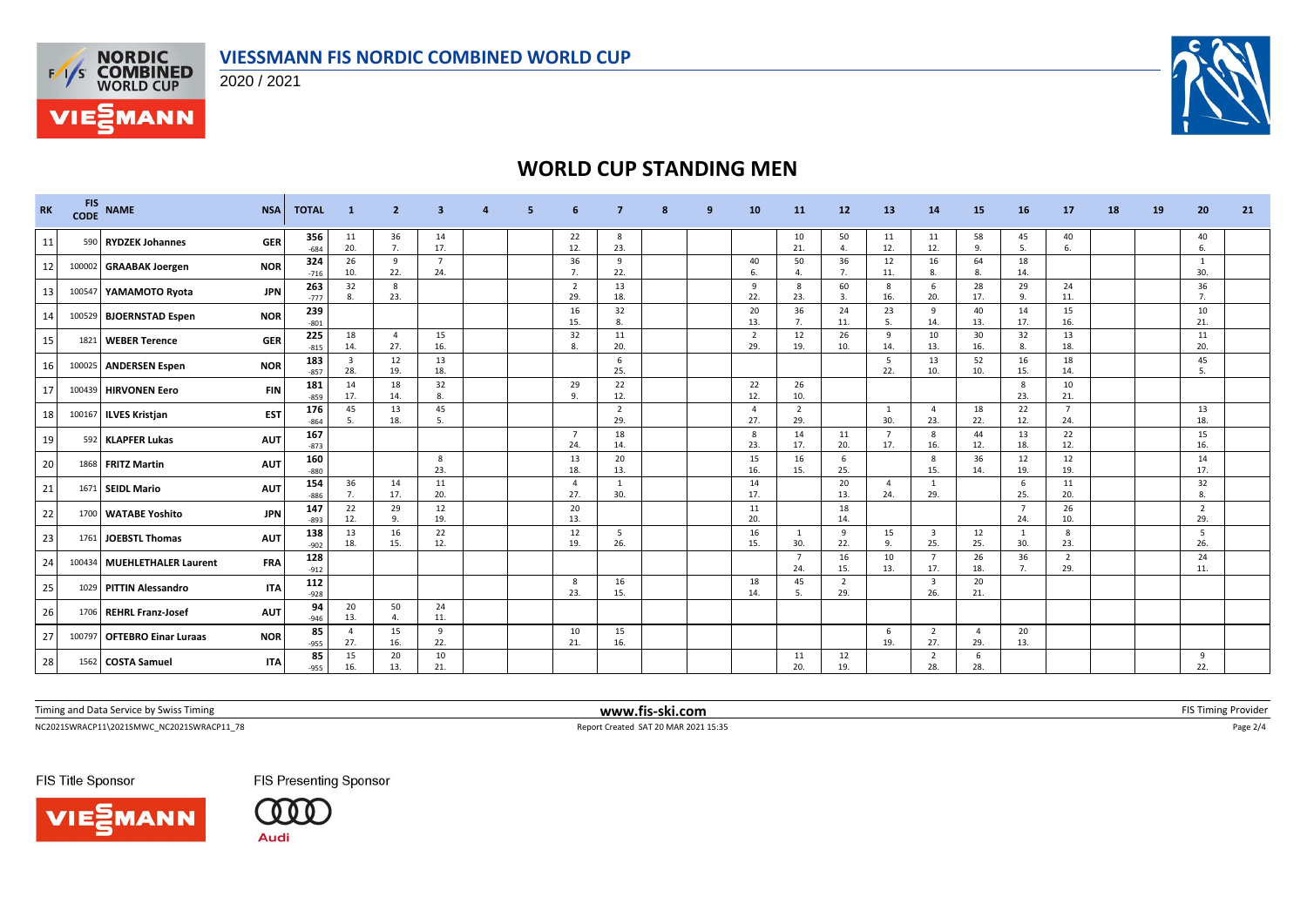

2020 / 2021



# **WORLD CUP STANDING MEN**

| <b>RK</b> | <b>FIS</b><br><b>CODE</b> | <b>NAME</b>                 | <b>NSA</b> | <b>TOTAL</b>  | $\mathbf{1}$                   | $\overline{2}$        | з                     |  |                       |                       | q | 10                    | 11                    | 12                    | 13                    | 14                             | 15                    | 16                    | 17                    | 18 | 19 | 20                    | 21 |
|-----------|---------------------------|-----------------------------|------------|---------------|--------------------------------|-----------------------|-----------------------|--|-----------------------|-----------------------|---|-----------------------|-----------------------|-----------------------|-----------------------|--------------------------------|-----------------------|-----------------------|-----------------------|----|----|-----------------------|----|
| 11        |                           | 590 RYDZEK Johannes         | <b>GER</b> | 356<br>$-684$ | 11<br>20.                      | 36<br>7.              | 14<br>17.             |  | 22<br>12.             | 8<br>23.              |   |                       | 10<br>21.             | 50<br>$\mathbf{4}$    | 11<br>12.             | 11<br>12.                      | 58<br>9.              | 45<br>5.              | 40<br>6.              |    |    | 40<br>6.              |    |
| 12        |                           | 100002 GRAABAK Joergen      | <b>NOR</b> | 324<br>$-716$ | 26<br>10.                      | 9<br>22.              | $\overline{7}$<br>24. |  | 36<br>7.              | 9<br>22.              |   | 40<br>6.              | 50<br>4.              | 36<br>7.              | 12<br>11.             | 16<br>8.                       | 64<br>8.              | 18<br>14.             |                       |    |    | 30.                   |    |
| 13        |                           | 100547 YAMAMOTO Ryota       | <b>JPN</b> | 263<br>$-777$ | 32<br>8.                       | 8<br>23.              |                       |  | $\overline{2}$<br>29. | 13<br>18.             |   | - 9<br>22.            | 8<br>23.              | 60<br>$\overline{3}$  | - 8<br>16.            | -6<br>20.                      | 28<br>17.             | 29<br>9               | 24<br>11.             |    |    | 36<br>7.              |    |
| 14        |                           | 100529 BJOERNSTAD Espen     | <b>NOR</b> | 239<br>$-801$ |                                |                       |                       |  | 16<br>15.             | 32<br>8.              |   | 20<br>13.             | 36<br>7.              | 24<br>11.             | 23<br>-5.             | 9<br>14.                       | 40<br>13.             | 14<br>17.             | 15<br>16.             |    |    | 10<br>21.             |    |
| 15        | 1821                      | <b>WEBER Terence</b>        | <b>GER</b> | 225<br>$-815$ | 18<br>14.                      | $\overline{4}$<br>27. | 15<br>16.             |  | 32<br>8.              | 11<br>20.             |   | $\overline{2}$<br>29. | 12<br>19.             | 26<br>10.             | 9<br>14.              | 10<br>13.                      | 30<br>16.             | 32<br>8.              | 13<br>18.             |    |    | 11<br>20.             |    |
| 16        |                           | 100025 ANDERSEN Espen       | <b>NOR</b> | 183<br>$-857$ | $\overline{\mathbf{3}}$<br>28. | 12<br>19.             | 13<br>18.             |  |                       | 6<br>25.              |   |                       |                       |                       | - 5<br>22.            | 13<br>10.                      | 52<br>10.             | 16<br>15.             | 18<br>14.             |    |    | 45<br>5.              |    |
| 17        |                           | 100439 HIRVONEN Eero        | <b>FIN</b> | 181<br>$-859$ | 14<br>17.                      | 18<br>14.             | 32<br>8.              |  | 29<br>9.              | 22<br>12.             |   | 22<br>12.             | 26<br>10.             |                       |                       |                                |                       | 8<br>23.              | 10<br>21.             |    |    |                       |    |
| 18        |                           | 100167 ILVES Kristjan       | <b>EST</b> | 176<br>$-864$ | 45<br>5.                       | 13<br>18.             | 45<br>- 5.            |  |                       | $\overline{2}$<br>29. |   | $\overline{a}$<br>27. | $\overline{2}$<br>29. |                       | 1<br>30.              | $\overline{4}$<br>23.          | 18<br>22.             | 22<br>12.             | $\overline{7}$<br>24. |    |    | 13<br>18.             |    |
| 19        |                           | 592 KLAPFER Lukas           | <b>AUT</b> | 167<br>$-873$ |                                |                       |                       |  | $\overline{7}$<br>24. | 18<br>14.             |   | 8<br>23.              | 14<br>17.             | 11<br>20.             | $\overline{7}$<br>17. | 8<br>16.                       | 44<br>12.             | 13<br>18.             | 22<br>12.             |    |    | 15<br>16.             |    |
| 20        |                           | 1868 FRITZ Martin           | <b>AUT</b> | 160<br>$-880$ |                                |                       | 8<br>23.              |  | 13<br>18.             | 20<br>13.             |   | 15<br>16.             | 16<br>15.             | 6<br>25.              |                       | 8<br>15.                       | 36<br>14.             | 12<br>19.             | 12<br>19.             |    |    | 14<br>17.             |    |
| 21        |                           | 1671 SEIDL Mario            | <b>AUT</b> | 154<br>$-886$ | 36<br>7.                       | 14<br>17.             | 11<br>20.             |  | $\overline{4}$<br>27. | 1<br>30.              |   | 14<br>17.             |                       | 20<br>13.             | $\mathbf{A}$<br>24.   | 1<br>29.                       |                       | 6<br>25.              | 11<br>20.             |    |    | 32<br>8.              |    |
| 22        | 1700                      | <b>WATABE Yoshito</b>       | <b>JPN</b> | 147<br>$-893$ | 22<br>12.                      | 29<br>9.              | 12<br>19.             |  | 20<br>13.             |                       |   | 11<br>20.             |                       | 18<br>14.             |                       |                                |                       | $\overline{7}$<br>24. | 26<br>10.             |    |    | $\overline{2}$<br>29. |    |
| 23        |                           | 1761 JOEBSTL Thomas         | <b>AUT</b> | 138<br>$-902$ | 13<br>18.                      | 16<br>15.             | 22<br>12.             |  | 12<br>19.             | -5<br>26.             |   | 16<br>15.             | 1<br>30.              | 9<br>22.              | 15<br>9.              | $\overline{\mathbf{3}}$<br>25. | 12<br>25.             | -1<br>30.             | -8<br>23.             |    |    | -5<br>26.             |    |
| 24        |                           | 100434 MUEHLETHALER Laurent | <b>FRA</b> | 128<br>$-912$ |                                |                       |                       |  |                       |                       |   |                       | $\overline{7}$<br>24. | 16<br>15.             | 10<br>13.             | $\overline{7}$<br>17.          | 26<br>18.             | 36<br>7.              | $\overline{2}$<br>29. |    |    | 24<br>11.             |    |
| 25        |                           | 1029 PITTIN Alessandro      | <b>ITA</b> | 112<br>$-928$ |                                |                       |                       |  | 8<br>23.              | 16<br>15.             |   | 18<br>14.             | 45<br>5.              | $\overline{2}$<br>29. |                       | $\overline{\mathbf{3}}$<br>26. | 20<br>21.             |                       |                       |    |    |                       |    |
| 26        |                           | 1706 REHRL Franz-Josef      | <b>AUT</b> | 94<br>$-946$  | 20<br>13.                      | 50                    | 24<br>11.             |  |                       |                       |   |                       |                       |                       |                       |                                |                       |                       |                       |    |    |                       |    |
| 27        | 100797                    | <b>OFTEBRO Einar Luraas</b> | <b>NOR</b> | 85<br>$-955$  | $\overline{a}$<br>27.          | 15<br>16.             | - 9<br>22.            |  | 10<br>21.             | 15<br>16.             |   |                       |                       |                       | -6<br>19.             | 2<br>27.                       | $\overline{4}$<br>29. | 20<br>13.             |                       |    |    |                       |    |
| 28        |                           | 1562 COSTA Samuel           | <b>ITA</b> | 85<br>$-955$  | 15<br>16.                      | 20<br>13.             | 10<br>21.             |  |                       |                       |   |                       | 11<br>20.             | 12<br>19.             |                       | $\overline{2}$<br>28.          | 6<br>28.              |                       |                       |    |    | 9<br>22.              |    |

Timing and Data Service by Swiss Timing **www.fis-ski.com www.fis-ski.com** FIS Timing Provider

 $\small \textsf{NC20215WWACP11\_20215WWC\_NC20215WRACP11\_78} \textcolor{red}{p_{\textsf{B}}}=2/4 \textcolor{red}{\textsf{R}}=2/4$ 

FIS Title Sponsor



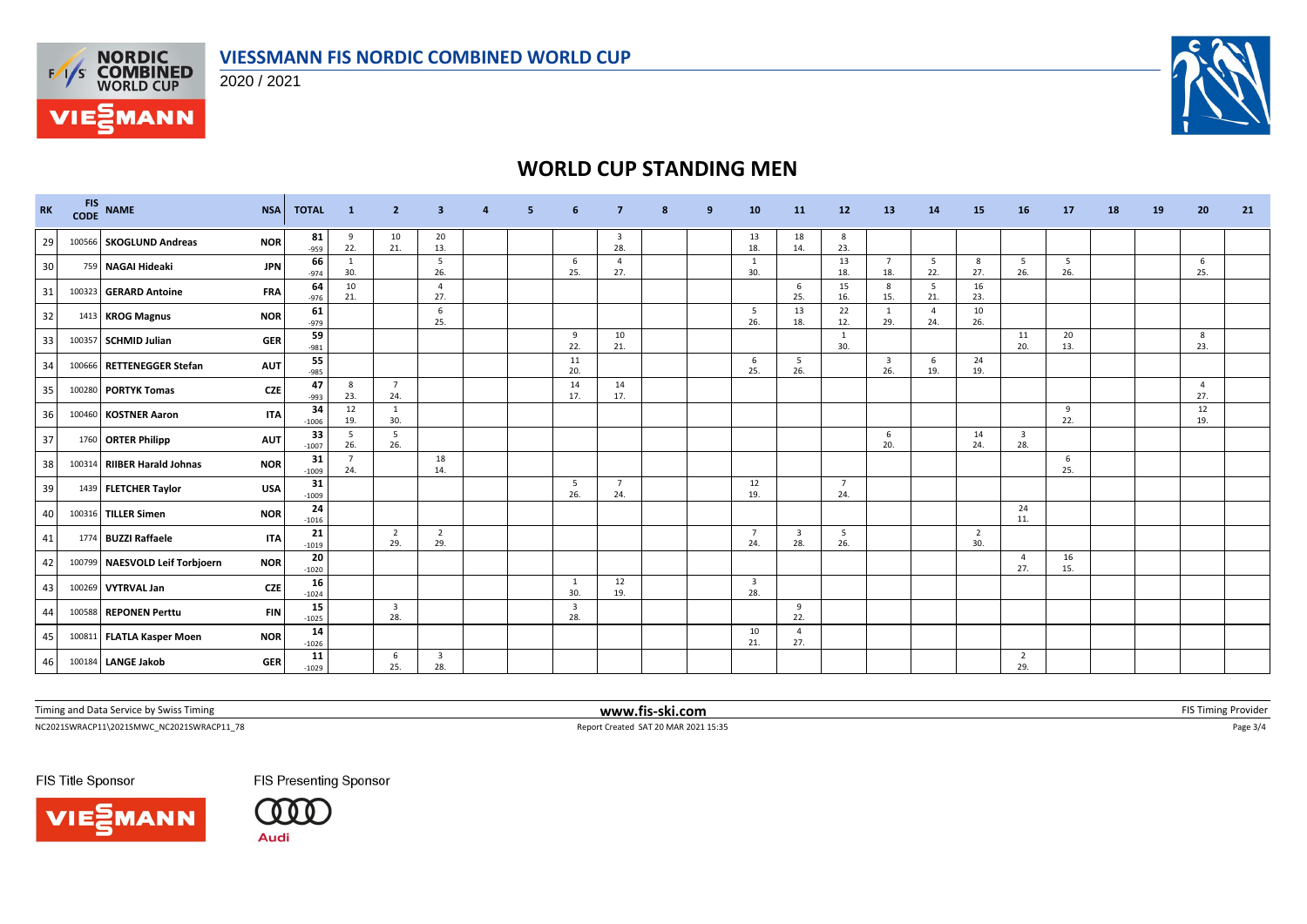

2020 / 2021



# **WORLD CUP STANDING MEN**

| <b>RK</b> | <b>FIS</b><br><b>CODE</b> | <b>NAME</b>                    | <b>NSA</b> | <b>TOTAL</b>  | $\blacksquare$        | $\overline{2}$                 | 3                     | 5 | 6                              |                       | 9 | 10                             | <b>11</b>                      | 12                    | 13                    | <b>14</b>             | 15                    | 16                             | <b>17</b>  | 18 | 19 | 20                    | 21 |
|-----------|---------------------------|--------------------------------|------------|---------------|-----------------------|--------------------------------|-----------------------|---|--------------------------------|-----------------------|---|--------------------------------|--------------------------------|-----------------------|-----------------------|-----------------------|-----------------------|--------------------------------|------------|----|----|-----------------------|----|
| 29        |                           | 100566 SKOGLUND Andreas        | <b>NOR</b> | 81<br>-959    | 9<br>22.              | 10<br>21.                      | 20<br>13.             |   |                                | 3<br>28.              |   | 13<br>18.                      | 18<br>14.                      | 8<br>23.              |                       |                       |                       |                                |            |    |    |                       |    |
| 30        |                           | 759 NAGAI Hideaki              | <b>JPN</b> | 66<br>$-974$  | 1<br>30.              |                                | -5<br>26.             |   | 6<br>25.                       | $\overline{4}$<br>27. |   | $\mathbf{1}$<br>30.            |                                | 13<br>18.             | $\overline{7}$<br>18. | 5<br>22.              | 8<br>27.              | 5<br>26.                       | - 5<br>26. |    |    | 6<br>25.              |    |
| 31        |                           | 100323 GERARD Antoine          | <b>FRA</b> | 64<br>$-976$  | 10<br>21.             |                                | $\overline{4}$<br>27. |   |                                |                       |   |                                | 6<br>25.                       | 15<br>16.             | 8<br>15.              | 5<br>21.              | 16<br>23.             |                                |            |    |    |                       |    |
| 32        |                           | 1413 KROG Magnus               | <b>NOR</b> | 61<br>$-979$  |                       |                                | 6<br>25.              |   |                                |                       |   | 5<br>26.                       | 13<br>18.                      | 22<br>12.             | $\mathbf{1}$<br>29.   | $\overline{4}$<br>24. | 10<br>26.             |                                |            |    |    |                       |    |
| 33        |                           | 100357 SCHMID Julian           | <b>GER</b> | 59<br>$-981$  |                       |                                |                       |   | 9<br>22.                       | 10<br>21.             |   |                                |                                | 1<br>30.              |                       |                       |                       | 11<br>20.                      | 20<br>13.  |    |    | 8<br>23.              |    |
| 34        |                           | 100666 RETTENEGGER Stefan      | <b>AUT</b> | 55<br>$-985$  |                       |                                |                       |   | 11<br>20.                      |                       |   | 6<br>25.                       | 5<br>26.                       |                       | 3<br>26.              | 6<br>19.              | 24<br>19.             |                                |            |    |    |                       |    |
| 35        |                           | 100280 PORTYK Tomas            | <b>CZE</b> | 47<br>$-993$  | 8<br>23.              | 7<br>24.                       |                       |   | 14<br>17                       | 14<br>17.             |   |                                |                                |                       |                       |                       |                       |                                |            |    |    | $\overline{4}$<br>27. |    |
| 36        |                           | 100460 KOSTNER Aaron           | <b>ITA</b> | 34<br>$-1006$ | 12<br>19.             | 1<br>30.                       |                       |   |                                |                       |   |                                |                                |                       |                       |                       |                       |                                | 9<br>22.   |    |    | 12<br>19.             |    |
| 37        |                           | 1760 ORTER Philipp             | <b>AUT</b> | 33<br>$-1007$ | 5<br>26.              | 5<br>26.                       |                       |   |                                |                       |   |                                |                                |                       | 6<br>20.              |                       | 14<br>24.             | $\overline{\mathbf{3}}$<br>28. |            |    |    |                       |    |
| 38        |                           | 100314 RIIBER Harald Johnas    | <b>NOR</b> | 31<br>$-1009$ | $\overline{7}$<br>24. |                                | 18<br>14.             |   |                                |                       |   |                                |                                |                       |                       |                       |                       |                                | 6<br>25.   |    |    |                       |    |
| 39        |                           | 1439 FLETCHER Taylor           | <b>USA</b> | 31<br>$-1009$ |                       |                                |                       |   | - 5<br>26.                     | $\overline{7}$<br>24. |   | 12<br>19.                      |                                | $\overline{7}$<br>24. |                       |                       |                       |                                |            |    |    |                       |    |
| 40        |                           | 100316 TILLER Simen            | <b>NOR</b> | 24<br>$-1016$ |                       |                                |                       |   |                                |                       |   |                                |                                |                       |                       |                       |                       | 24<br>11.                      |            |    |    |                       |    |
| 41        |                           | 1774 BUZZI Raffaele            | <b>ITA</b> | 21<br>$-1019$ |                       | $\overline{2}$<br>29.          | $\overline{2}$<br>29. |   |                                |                       |   | $\overline{7}$<br>24.          | $\overline{\mathbf{3}}$<br>28. | - 5<br>26.            |                       |                       | $\overline{2}$<br>30. |                                |            |    |    |                       |    |
| 42        |                           | 100799 NAESVOLD Leif Torbjoern | <b>NOR</b> | 20<br>$-1020$ |                       |                                |                       |   |                                |                       |   |                                |                                |                       |                       |                       |                       | - 4<br>27.                     | 16<br>15.  |    |    |                       |    |
| 43        |                           | 100269 VYTRVAL Jan             | <b>CZE</b> | 16<br>$-1024$ |                       |                                |                       |   | 1<br>30.                       | 12<br>19.             |   | $\overline{\mathbf{3}}$<br>28. |                                |                       |                       |                       |                       |                                |            |    |    |                       |    |
| 44        |                           | 100588 REPONEN Perttu          | <b>FIN</b> | 15<br>$-1025$ |                       | $\overline{\mathbf{3}}$<br>28. |                       |   | $\overline{\mathbf{3}}$<br>28. |                       |   |                                | 9<br>22.                       |                       |                       |                       |                       |                                |            |    |    |                       |    |
| 45        |                           | 100811 FLATLA Kasper Moen      | <b>NOR</b> | 14<br>$-1026$ |                       |                                |                       |   |                                |                       |   | 10<br>21.                      | $\overline{4}$<br>27.          |                       |                       |                       |                       |                                |            |    |    |                       |    |
| 46        |                           | 100184 LANGE Jakob             | <b>GER</b> | 11<br>$-1029$ |                       | 6<br>25.                       | 3<br>28.              |   |                                |                       |   |                                |                                |                       |                       |                       |                       | $\overline{2}$<br>29.          |            |    |    |                       |    |

Timing and Data Service by Swiss Timing **www.fis-ski.com www.fis-ski.com** FIS Timing Provider

 $\small \textsf{NC20215WWACP11\_20215WWC\_NC20215WRACP11\_78} \textcolor{red}{\bullet} 3/4$ 

FIS Title Sponsor





FIS Presenting Sponsor